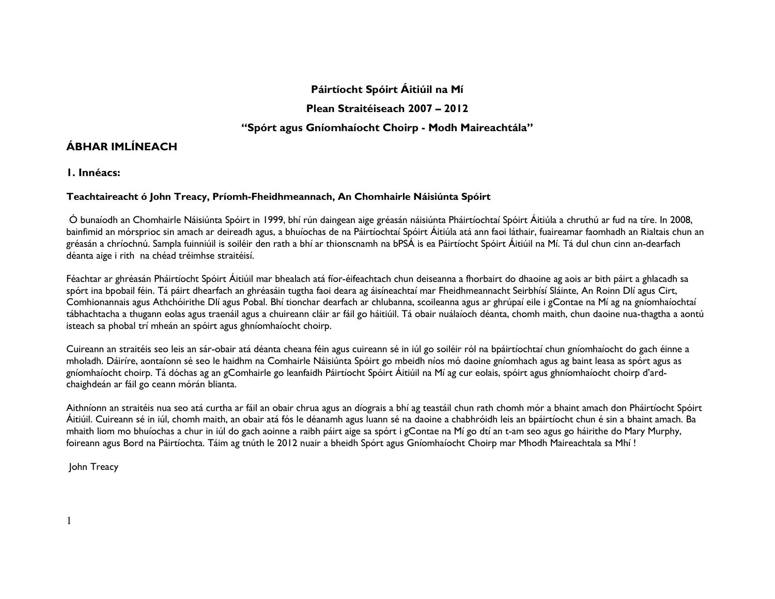### Páirtíocht Spóirt Áitiúil na Mí

Plean Straitéiseach 2007 – 2012

### "Spórt agus Gníomhaíocht Choirp - Modh Maireachtála"

### ÁBHAR IMLÍNEACH

1. Innéacs:

### Teachtaireacht ó John Treacy, Príomh-Fheidhmeannach, An Chomhairle Náisiúnta Spóirt

 Ó bunaíodh an Chomhairle Náisiúnta Spóirt in 1999, bhí rún daingean aige gréasán náisiúnta Pháirtíochtaí Spóirt Áitiúla a chruthú ar fud na tíre. In 2008, bainfimid an mórsprioc sin amach ar deireadh agus, a bhuíochas de na Páirtíochtaí Spóirt Áitiúla atá ann faoi láthair, fuaireamar faomhadh an Rialtais chun an gréasán a chríochnú. Sampla fuinniúil is soiléir den rath a bhí ar thionscnamh na bPSÁ is ea Páirtíocht Spóirt Áitiúil na Mí. Tá dul chun cinn an-dearfach déanta aige i rith na chéad tréimhse straitéisí.

Féachtar ar ghréasán Pháirtíocht Spóirt Áitiúil mar bhealach atá fíor-éifeachtach chun deiseanna a fhorbairt do dhaoine ag aois ar bith páirt a ghlacadh sa spórt ina bpobail féin. Tá páirt dhearfach an ghréasáin tugtha faoi deara ag áisíneachtaí mar Fheidhmeannacht Seirbhísí Sláinte, An Roinn Dlí agus Cirt, Comhionannais agus Athchóirithe Dlí agus Pobal. Bhí tionchar dearfach ar chlubanna, scoileanna agus ar ghrúpaí eile i gContae na Mí ag na gníomhaíochtaí tábhachtacha a thugann eolas agus traenáil agus a chuireann cláir ar fáil go háitiúil. Tá obair nuálaíoch déanta, chomh maith, chun daoine nua-thagtha a aontú isteach sa phobal trí mheán an spóirt agus ghníomhaíocht choirp.

Cuireann an straitéis seo leis an sár-obair atá déanta cheana féin agus cuireann sé in iúl go soiléir ról na bpáirtíochtaí chun gníomhaíocht do gach éinne a mholadh. Dáiríre, aontaíonn sé seo le haidhm na Comhairle Náisiúnta Spóirt go mbeidh níos mó daoine gníomhach agus ag baint leasa as spórt agus as gníomhaíocht choirp. Tá dóchas ag an gComhairle go leanfaidh Páirtíocht Spóirt Áitiúil na Mí ag cur eolais, spóirt agus ghníomhaíocht choirp d'ardchaighdeán ar fáil go ceann mórán blianta.

Aithníonn an straitéis nua seo atá curtha ar fáil an obair chrua agus an díograis a bhí ag teastáil chun rath chomh mór a bhaint amach don Pháirtíocht Spóirt Áitiúil. Cuireann sé in iúl, chomh maith, an obair atá fós le déanamh agus luann sé na daoine a chabhróidh leis an bpáirtíocht chun é sin a bhaint amach. Ba mhaith liom mo bhuíochas a chur in iúl do gach aoinne a raibh páirt aige sa spórt i gContae na Mí go dtí an t-am seo agus go háirithe do Mary Murphy, foireann agus Bord na Páirtíochta. Táim ag tnúth le 2012 nuair a bheidh Spórt agus Gníomhaíocht Choirp mar Mhodh Maireachtala sa Mhí !

John Treacy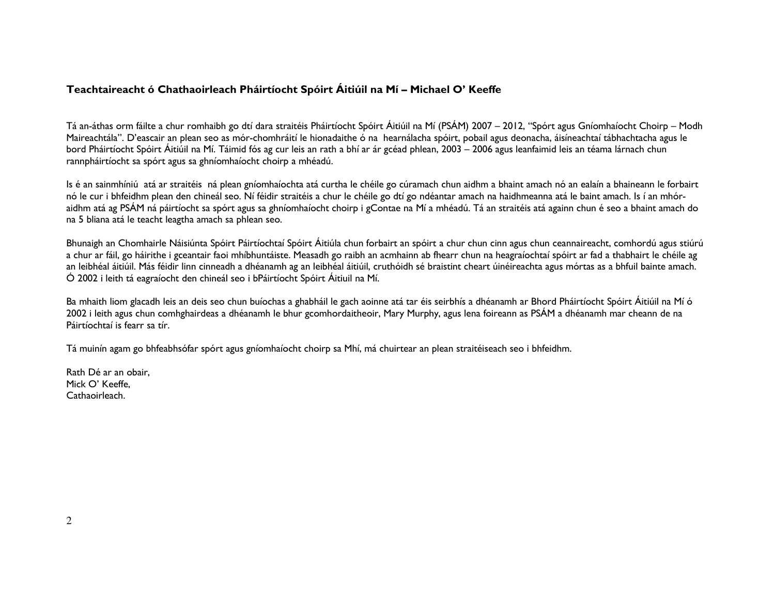### Teachtaireacht ó Chathaoirleach Pháirtíocht Spóirt Áitiúil na Mí – Michael O' Keeffe

Tá an-áthas orm fáilte a chur romhaibh go dtí dara straitéis Pháirtíocht Spóirt Áitiúil na Mí (PSÁM) 2007 – 2012, "Spórt agus Gníomhaíocht Choirp – Modh Maireachtála". D'eascair an plean seo as mór-chomhráití le hionadaithe ó na hearnálacha spóirt, pobail agus deonacha, áisíneachtaí tábhachtacha agus le bord Pháirtíocht Spóirt Áitiúil na Mí. Táimid fós ag cur leis an rath a bhí ar ár gcéad phlean, 2003 – 2006 agus leanfaimid leis an téama lárnach chun rannpháirtíocht sa spórt agus sa ghníomhaíocht choirp a mhéadú.

Is é an sainmhíniú atá ar straitéis ná plean gníomhaíochta atá curtha le chéile go cúramach chun aidhm a bhaint amach nó an ealaín a bhaineann le forbairt nó le cur i bhfeidhm plean den chineál seo. Ní féidir straitéis a chur le chéile go dtí go ndéantar amach na haidhmeanna atá le baint amach. Is í an mhóraidhm atá ag PSÁM ná páirtíocht sa spórt agus sa ghníomhaíocht choirp i gContae na Mí a mhéadú. Tá an straitéis atá againn chun é seo a bhaint amach do na 5 bliana atá le teacht leagtha amach sa phlean seo.

Bhunaigh an Chomhairle Náisiúnta Spóirt Páirtíochtaí Spóirt Áitiúla chun forbairt an spóirt a chur chun cinn agus chun ceannaireacht, comhordú agus stiúrú a chur ar fáil, go háirithe i gceantair faoi mhíbhuntáiste. Measadh go raibh an acmhainn ab fhearr chun na heagraíochtaí spóirt ar fad a thabhairt le chéile ag an leibhéal áitiúil. Más féidir linn cinneadh a dhéanamh ag an leibhéal áitiúil, cruthóidh sé braistint cheart úinéireachta agus mórtas as a bhfuil bainte amach. Ó 2002 i leith tá eagraíocht den chineál seo i bPáirtíocht Spóirt Áitiuil na Mí.

Ba mhaith liom glacadh leis an deis seo chun buíochas a ghabháil le gach aoinne atá tar éis seirbhís a dhéanamh ar Bhord Pháirtíocht Spóirt Áitiúil na Mí ó 2002 i leith agus chun comhghairdeas a dhéanamh le bhur gcomhordaitheoir, Mary Murphy, agus lena foireann as PSÁM a dhéanamh mar cheann de na Páirtíochtaí is fearr sa tír.

Tá muinín agam go bhfeabhsófar spórt agus gníomhaíocht choirp sa Mhí, má chuirtear an plean straitéiseach seo i bhfeidhm.

Rath Dé ar an obair, Mick O' Keeffe, Cathaoirleach.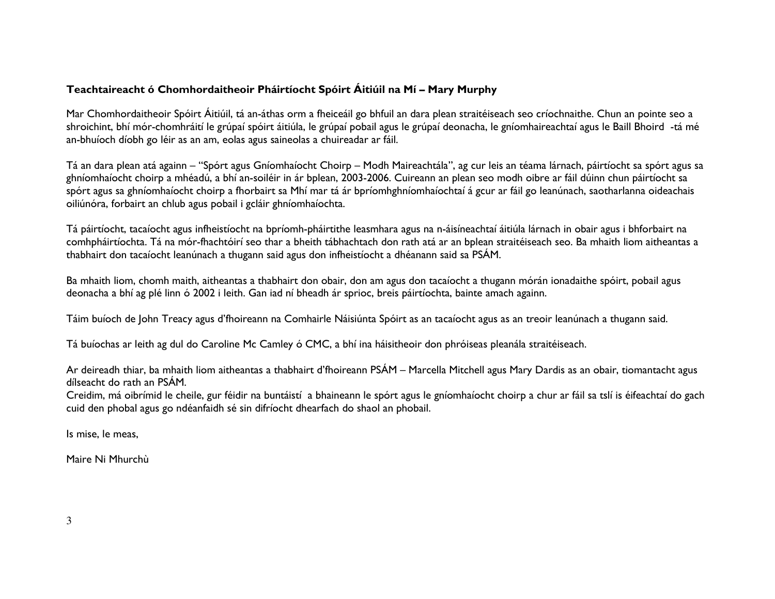### Teachtaireacht ó Chomhordaitheoir Pháirtíocht Spóirt Áitiúil na Mí – Mary Murphy

Mar Chomhordaitheoir Spóirt Áitiúil, tá an-áthas orm a fheiceáil go bhfuil an dara plean straitéiseach seo críochnaithe. Chun an pointe seo a shroichint, bhí mór-chomhráití le grúpaí spóirt áitiúla, le grúpaí pobail agus le grúpaí deonacha, le gníomhaireachtaí agus le Baill Bhoird -tá mé an-bhuíoch díobh go léir as an am, eolas agus saineolas a chuireadar ar fáil.

Tá an dara plean atá againn – "Spórt agus Gníomhaíocht Choirp – Modh Maireachtála", ag cur leis an téama lárnach, páirtíocht sa spórt agus sa ghníomhaíocht choirp a mhéadú, a bhí an-soiléir in ár bplean, 2003-2006. Cuireann an plean seo modh oibre ar fáil dúinn chun páirtíocht sa spórt agus sa ghníomhaíocht choirp a fhorbairt sa Mhí mar tá ár bpríomhghníomhaíochtaí á gcur ar fáil go leanúnach, saotharlanna oideachais oiliúnóra, forbairt an chlub agus pobail i gcláir ghníomhaíochta.

Tá páirtíocht, tacaíocht agus infheistíocht na bpríomh-pháirtithe leasmhara agus na n-áisíneachtaí áitiúla lárnach in obair agus i bhforbairt na comhpháirtíochta. Tá na mór-fhachtóirí seo thar a bheith tábhachtach don rath atá ar an bplean straitéiseach seo. Ba mhaith liom aitheantas a thabhairt don tacaíocht leanúnach a thugann said agus don infheistíocht a dhéanann said sa PSÁM.

Ba mhaith liom, chomh maith, aitheantas a thabhairt don obair, don am agus don tacaíocht a thugann mórán ionadaithe spóirt, pobail agus deonacha a bhí ag plé linn ó 2002 i leith. Gan iad ní bheadh ár sprioc, breis páirtíochta, bainte amach againn.

Táim buíoch de John Treacy agus d'fhoireann na Comhairle Náisiúnta Spóirt as an tacaíocht agus as an treoir leanúnach a thugann said.

Tá buíochas ar leith ag dul do Caroline Mc Camley ó CMC, a bhí ina háisitheoir don phróiseas pleanála straitéiseach.

Ar deireadh thiar, ba mhaith liom aitheantas a thabhairt d'fhoireann PSÁM – Marcella Mitchell agus Mary Dardis as an obair, tiomantacht agus dílseacht do rath an PSÁM.

 Creidim, má oibrímid le cheile, gur féidir na buntáistí a bhaineann le spórt agus le gníomhaíocht choirp a chur ar fáil sa tslí is éifeachtaí do gach cuid den phobal agus go ndéanfaidh sé sin difríocht dhearfach do shaol an phobail.

Is mise, le meas,

Maire Ni Mhurchù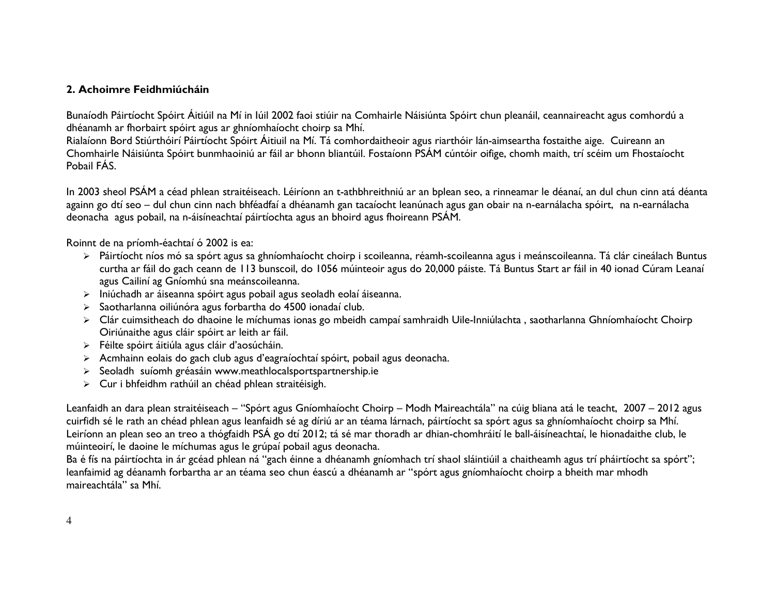### 2. Achoimre Feidhmiúcháin

Bunaíodh Páirtíocht Spóirt Áitiúil na Mí in Iúil 2002 faoi stiúir na Comhairle Náisiúnta Spóirt chun pleanáil, ceannaireacht agus comhordú a dhéanamh ar fhorbairt spóirt agus ar ghníomhaíocht choirp sa Mhí.

 Rialaíonn Bord Stiúrthóirí Páirtíocht Spóirt Áitiuil na Mí. Tá comhordaitheoir agus riarthóir lán-aimseartha fostaithe aige. Cuireann an Chomhairle Náisiúnta Spóirt bunmhaoiniú ar fáil ar bhonn bliantúil. Fostaíonn PSÁM cúntóir oifige, chomh maith, trí scéim um Fhostaíocht Pobail FÁS.

In 2003 sheol PSÁM a céad phlean straitéiseach. Léiríonn an t-athbhreithniú ar an bplean seo, a rinneamar le déanaí, an dul chun cinn atá déanta againn go dtí seo – dul chun cinn nach bhféadfaí a dhéanamh gan tacaíocht leanúnach agus gan obair na n-earnálacha spóirt, na n-earnálacha deonacha agus pobail, na n-áisíneachtaí páirtíochta agus an bhoird agus fhoireann PSÁM.

Roinnt de na príomh-éachtaí ó 2002 is ea:

- Páirtíocht níos mó sa spórt agus sa ghníomhaíocht choirp i scoileanna, réamh-scoileanna agus i meánscoileanna. Tá clár cineálach Buntus curtha ar fáil do gach ceann de 113 bunscoil, do 1056 múinteoir agus do 20,000 páiste. Tá Buntus Start ar fáil in 40 ionad Cúram Leanaí agus Cailiní ag Gníomhú sna meánscoileanna.
- Iniúchadh ar áiseanna spóirt agus pobail agus seoladh eolaí áiseanna.
- Saotharlanna oiliúnóra agus forbartha do 4500 ionadaí club.
- Clár cuimsitheach do dhaoine le míchumas ionas go mbeidh campaí samhraidh Uile-Inniúlachta , saotharlanna Ghníomhaíocht Choirp Oiriúnaithe agus cláir spóirt ar leith ar fáil.
- Féilte spóirt áitiúla agus cláir d'aosúcháin.
- Acmhainn eolais do gach club agus d'eagraíochtaí spóirt, pobail agus deonacha.
- > Seoladh suíomh gréasáin www.meathlocalsportspartnership.ie<br>> C
- Cur i bhfeidhm rathúil an chéad phlean straitéisigh.

Leanfaidh an dara plean straitéiseach – "Spórt agus Gníomhaíocht Choirp – Modh Maireachtála" na cúig bliana atá le teacht, 2007 – 2012 agus cuirfidh sé le rath an chéad phlean agus leanfaidh sé ag díriú ar an téama lárnach, páirtíocht sa spórt agus sa ghníomhaíocht choirp sa Mhí. Leiríonn an plean seo an treo a thógfaidh PSÁ go dtí 2012; tá sé mar thoradh ar dhian-chomhráití le ball-áisíneachtaí, le hionadaithe club, le múinteoirí, le daoine le míchumas agus le grúpaí pobail agus deonacha.

Ba é fís na páirtíochta in ár gcéad phlean ná "gach éinne a dhéanamh gníomhach trí shaol sláintiúil a chaitheamh agus trí pháirtíocht sa spórt"; leanfaimid ag déanamh forbartha ar an téama seo chun éascú a dhéanamh ar "spórt agus gníomhaíocht choirp a bheith mar mhodh maireachtála" sa Mhí.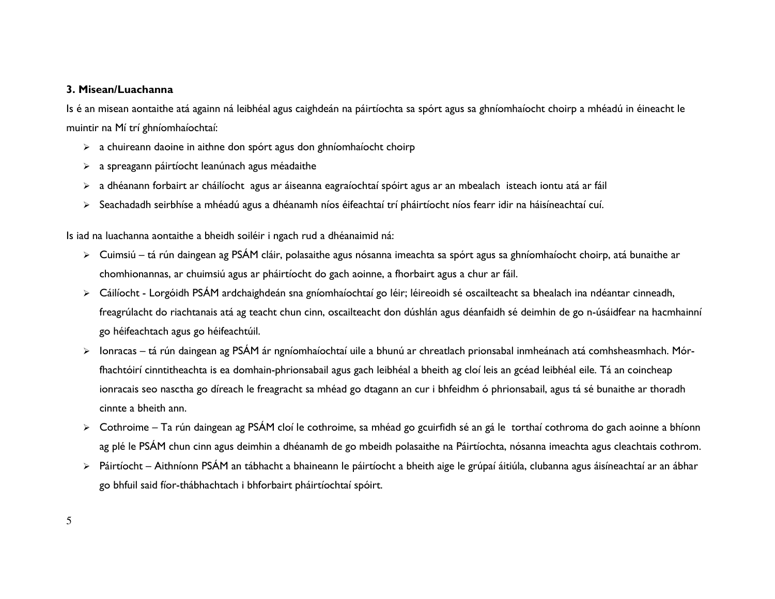#### 3. Misean/Luachanna

Is é an misean aontaithe atá againn ná leibhéal agus caighdeán na páirtíochta sa spórt agus sa ghníomhaíocht choirp a mhéadú in éineacht le muintir na Mí trí ghníomhaíochtaí:

- $\triangleright$  a chuireann daoine in aithne don spórt agus don ghníomhaíocht choirp
- $\triangleright$  a spreagann páirtíocht leanúnach agus méadaithe
- a dhéanann forbairt ar cháilíocht agus ar áiseanna eagraíochtaí spóirt agus ar an mbealach isteach iontu atá ar fáil
- Seachadadh seirbhíse a mhéadú agus a dhéanamh níos éifeachtaí trí pháirtíocht níos fearr idir na háisíneachtaí cuí.

Is iad na luachanna aontaithe a bheidh soiléir i ngach rud a dhéanaimid ná:

- Cuimsiú tá rún daingean ag PSÁM cláir, polasaithe agus nósanna imeachta sa spórt agus sa ghníomhaíocht choirp, atá bunaithe ar chomhionannas, ar chuimsiú agus ar pháirtíocht do gach aoinne, a fhorbairt agus a chur ar fáil.
- Cáilíocht Lorgóidh PSÁM ardchaighdeán sna gníomhaíochtaí go léir; léireoidh sé oscailteacht sa bhealach ina ndéantar cinneadh, freagrúlacht do riachtanais atá ag teacht chun cinn, oscailteacht don dúshlán agus déanfaidh sé deimhin de go n-úsáidfear na hacmhainní go héifeachtach agus go héifeachtúil.
- Ionracas tá rún daingean ag PSÁM ár ngníomhaíochtaí uile a bhunú ar chreatlach prionsabal inmheánach atá comhsheasmhach. Mórfhachtóirí cinntitheachta is ea domhain-phrionsabail agus gach leibhéal a bheith ag cloí leis an gcéad leibhéal eile. Tá an coincheap ionracais seo nasctha go díreach le freagracht sa mhéad go dtagann an cur i bhfeidhm ó phrionsabail, agus tá sé bunaithe ar thoradh cinnte a bheith ann.
- Cothroime Ta rún daingean ag PSÁM cloí le cothroime, sa mhéad go gcuirfidh sé an gá le torthaí cothroma do gach aoinne a bhíonn ag plé le PSÁM chun cinn agus deimhin a dhéanamh de go mbeidh polasaithe na Páirtíochta, nósanna imeachta agus cleachtais cothrom.
- Páirtíocht Aithníonn PSÁM an tábhacht a bhaineann le páirtíocht a bheith aige le grúpaí áitiúla, clubanna agus áisíneachtaí ar an ábhar go bhfuil said fíor-thábhachtach i bhforbairt pháirtíochtaí spóirt.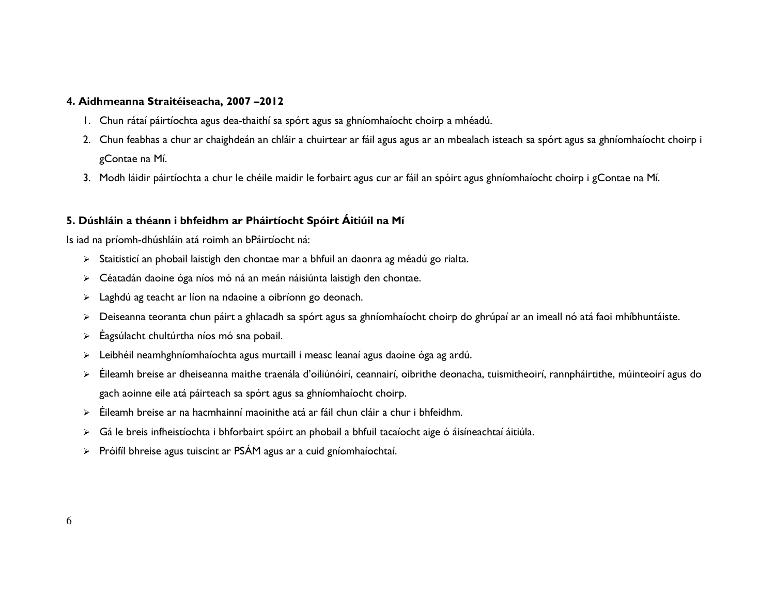#### 4. Aidhmeanna Straitéiseacha, 2007 –2012

- 1. Chun rátaí páirtíochta agus dea-thaithí sa spórt agus sa ghníomhaíocht choirp a mhéadú.
- 2. Chun feabhas a chur ar chaighdeán an chláir a chuirtear ar fáil agus agus ar an mbealach isteach sa spórt agus sa ghníomhaíocht choirp i gContae na Mí.
- 3. Modh láidir páirtíochta a chur le chéile maidir le forbairt agus cur ar fáil an spóirt agus ghníomhaíocht choirp i gContae na Mí.

### 5. Dúshláin a théann i bhfeidhm ar Pháirtíocht Spóirt Áitiúil na Mí

Is iad na príomh-dhúshláin atá roimh an bPáirtíocht ná:

- $\triangleright$   $\;$  Staitisticí an phobail laistigh den chontae mar a bhfuil an daonra ag méadú go rialta.
- Céatadán daoine óga níos mó ná an meán náisiúnta laistigh den chontae.
- Laghdú ag teacht ar líon na ndaoine a oibríonn go deonach.
- $\blacktriangleright$ Deiseanna teoranta chun páirt a ghlacadh sa spórt agus sa ghníomhaíocht choirp do ghrúpaí ar an imeall nó atá faoi mhíbhuntáiste.
- ➤ Éagsúlacht chultúrtha níos mó sna pobail.
- Leibhéil neamhghníomhaíochta agus murtaill i measc leanaí agus daoine óga ag ardú.
- Éileamh breise ar dheiseanna maithe traenála d'oiliúnóirí, ceannairí, oibrithe deonacha, tuismitheoirí, rannpháirtithe, múinteoirí agus do gach aoinne eile atá páirteach sa spórt agus sa ghníomhaíocht choirp.
- Éileamh breise ar na hacmhainní maoinithe atá ar fáil chun cláir a chur i bhfeidhm.
- $\blacktriangleright$ Gá le breis infheistíochta i bhforbairt spóirt an phobail a bhfuil tacaíocht aige ó áisíneachtaí áitiúla.
- $\triangleright$  Próifíl bhreise agus tuiscint ar PSÁM agus ar a cuid gníomhaíochtaí.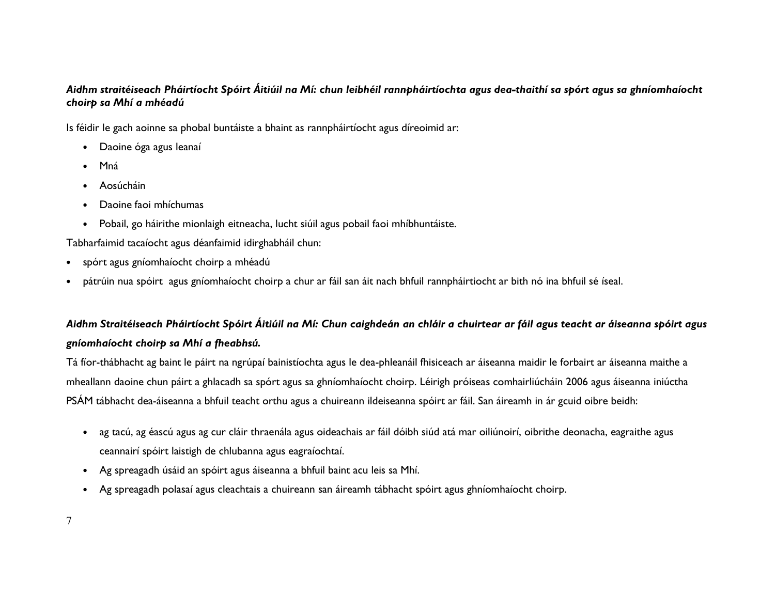### Aidhm straitéiseach Pháirtíocht Spóirt Áitiúil na Mí: chun leibhéil rannpháirtíochta agus dea-thaithí sa spórt agus sa ghníomhaíocht choirp sa Mhí a mhéadú

Is féidir le gach aoinne sa phobal buntáiste a bhaint as rannpháirtíocht agus díreoimid ar:

- Daoine óga agus leanaí
- •Mná
- Aosúcháin
- •Daoine faoi mhíchumas
- Pobail, go háirithe mionlaigh eitneacha, lucht siúil agus pobail faoi mhíbhuntáiste.

Tabharfaimid tacaíocht agus déanfaimid idirghabháil chun:

- spórt agus gníomhaíocht choirp a mhéadú
- •<sup>p</sup>átrúin nua spóirt agus gníomhaíocht choirp a chur ar fáil san áit nach bhfuil rannpháirtiocht ar bith nó ina bhfuil sé íseal.

### Aidhm Straitéiseach Pháirtíocht Spóirt Áitiúil na Mí: Chun caighdeán an chláir a chuirtear ar fáil agus teacht ar áiseanna spóirt agus gníomhaíocht choirp sa Mhí a fheabhsú.

Tá fíor-thábhacht ag baint le páirt na ngrúpaí bainistíochta agus le dea-phleanáil fhisiceach ar áiseanna maidir le forbairt ar áiseanna maithe a mheallann daoine chun páirt a ghlacadh sa spórt agus sa ghníomhaíocht choirp. Léirigh próiseas comhairliúcháin 2006 agus áiseanna iniúctha PSÁM tábhacht dea-áiseanna a bhfuil teacht orthu agus a chuireann ildeiseanna spóirt ar fáil. San áireamh in ár gcuid oibre beidh:

- ag tacú, ag éascú agus ag cur cláir thraenála agus oideachais ar fáil dóibh siúd atá mar oiliúnoirí, oibrithe deonacha, eagraithe agus ceannairí spóirt laistigh de chlubanna agus eagraíochtaí.
- Ag spreagadh úsáid an spóirt agus áiseanna a bhfuil baint acu leis sa Mhí.
- Ag spreagadh polasaí agus cleachtais a chuireann san áireamh tábhacht spóirt agus ghníomhaíocht choirp.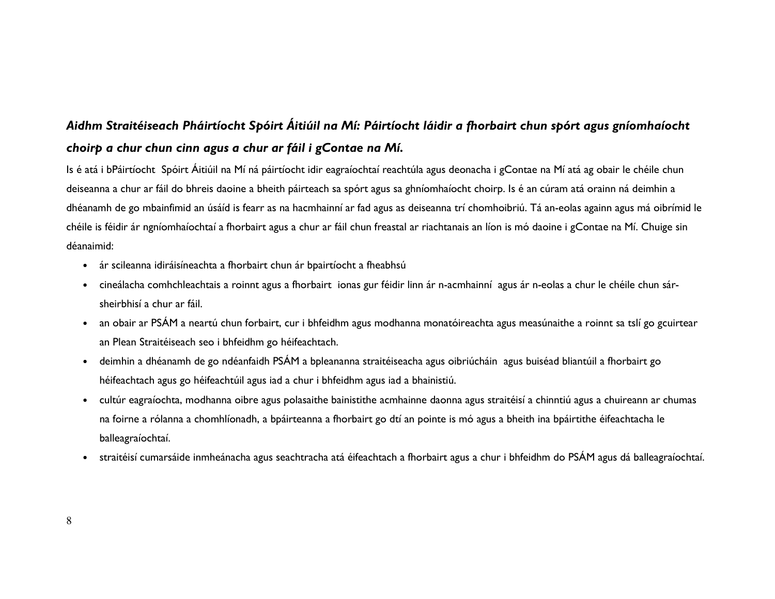## Aidhm Straitéiseach Pháirtíocht Spóirt Áitiúil na Mí: Páirtíocht láidir a fhorbairt chun spórt agus gníomhaíocht choirp a chur chun cinn agus a chur ar fáil i gContae na Mí.

Is é atá i bPáirtíocht Spóirt Áitiúil na Mí ná páirtíocht idir eagraíochtaí reachtúla agus deonacha i gContae na Mí atá ag obair le chéile chun deiseanna a chur ar fáil do bhreis daoine a bheith páirteach sa spórt agus sa ghníomhaíocht choirp. Is é an cúram atá orainn ná deimhin a dhéanamh de go mbainfimid an úsáíd is fearr as na hacmhainní ar fad agus as deiseanna trí chomhoibriú. Tá an-eolas againn agus má oibrímid le chéile is féidir ár ngníomhaíochtaí a fhorbairt agus a chur ar fáil chun freastal ar riachtanais an líon is mó daoine i gContae na Mí. Chuige sin déanaimid:

- ár scileanna idiráisíneachta a fhorbairt chun ár bpairtíocht a fheabhsú
- • cineálacha comhchleachtais a roinnt agus a fhorbairt ionas gur féidir linn ár n-acmhainní agus ár n-eolas a chur le chéile chun sársheirbhisí a chur ar fáil.
- an obair ar PSÁM a neartú chun forbairt, cur i bhfeidhm agus modhanna monatóireachta agus measúnaithe a roinnt sa tslí go gcuirtear an Plean Straitéiseach seo i bhfeidhm go héifeachtach.
- deimhin a dhéanamh de go ndéanfaidh PSÁM a bpleananna straitéiseacha agus oibriúcháin agus buiséad bliantúil a fhorbairt go héifeachtach agus go héifeachtúil agus iad a chur i bhfeidhm agus iad a bhainistiú.
- cultúr eagraíochta, modhanna oibre agus polasaithe bainistithe acmhainne daonna agus straitéisí a chinntiú agus a chuireann ar chumas na foirne a rólanna a chomhlíonadh, a bpáirteanna a fhorbairt go dtí an pointe is mó agus a bheith ina bpáirtithe éifeachtacha le balleagraíochtaí.
- •straitéisí cumarsáide inmheánacha agus seachtracha atá éifeachtach a fhorbairt agus a chur i bhfeidhm do PSÁM agus dá balleagraíochtaí.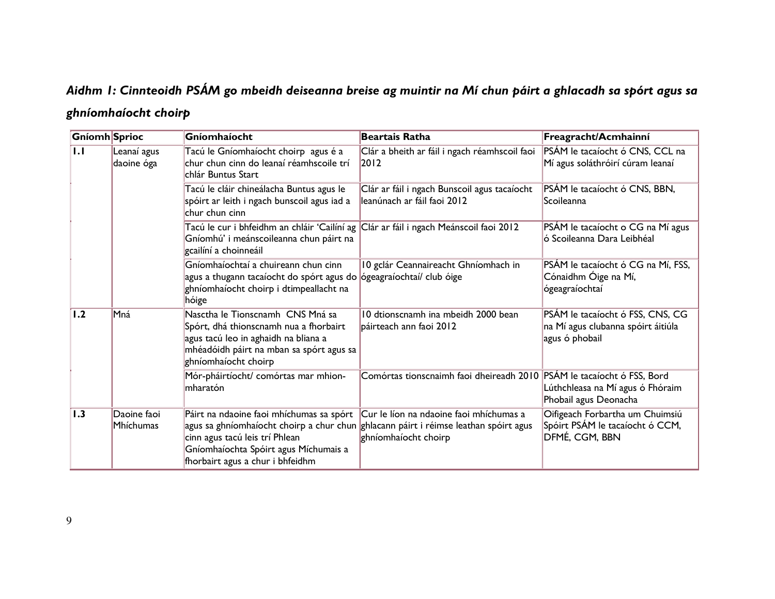# Aidhm 1: Cinnteoidh PSÁM go mbeidh deiseanna breise ag muintir na Mí chun páirt a ghlacadh sa spórt agus sa ghníomhaíocht choirp

| Gníomh Sprioc    |                           | Gníomhaíocht                                                                                                                                                                           | <b>Beartais Ratha</b>                                                                                                                                   | Freagracht/Acmhainní                                                                       |
|------------------|---------------------------|----------------------------------------------------------------------------------------------------------------------------------------------------------------------------------------|---------------------------------------------------------------------------------------------------------------------------------------------------------|--------------------------------------------------------------------------------------------|
| $\overline{1.1}$ | Leanaí agus<br>daoine óga | Tacú le Gníomhaíocht choirp agus é a<br>chur chun cinn do leanaí réamhscoile trí<br>chlár Buntus Start                                                                                 | Clár a bheith ar fáil i ngach réamhscoil faoi<br>2012                                                                                                   | PSÁM le tacaíocht ó CNS, CCL na<br>Mí agus soláthróirí cúram leanaí                        |
|                  |                           | Tacú le cláir chineálacha Buntus agus le<br>spóirt ar leith i ngach bunscoil agus iad a<br>chur chun cinn                                                                              | Clár ar fáil i ngach Bunscoil agus tacaíocht<br>leanúnach ar fáil faoi 2012                                                                             | PSÁM le tacaíocht ó CNS, BBN,<br>Scoileanna                                                |
|                  |                           | Tacú le cur i bhfeidhm an chláir 'Cailíní ag<br>Gníomhú' i meánscoileanna chun páirt na<br>gcailíní a choinneáil                                                                       | Clár ar fáil i ngach Meánscoil faoi 2012                                                                                                                | PSÁM le tacaíocht o CG na Mí agus<br>ló Scoileanna Dara Leibhéal                           |
|                  |                           | Gníomhaíochtaí a chuireann chun cinn<br>agus a thugann tacaíocht do spórt agus do <b>ógeagraíochtaí/ club óige</b><br>ghníomhaíocht choirp i dtimpeallacht na<br>hóige                 | 10 gclár Ceannaireacht Ghníomhach in                                                                                                                    | PSÁM le tacaíocht ó CG na Mí, FSS,<br>Cónaidhm Óige na Mí,<br>ógeagraíochtaí               |
| $\overline{1.2}$ | Mná                       | Nasctha le Tionscnamh CNS Mná sa<br>Spórt, dhá thionscnamh nua a fhorbairt<br>agus tacú leo in aghaidh na bliana a<br>mhéadóidh páirt na mban sa spórt agus sa<br>ghníomhaíocht choirp | 10 dtionscnamh ina mbeidh 2000 bean<br>páirteach ann faoi 2012                                                                                          | PSÁM le tacaíocht ó FSS, CNS, CG<br>na Mí agus clubanna spóirt áitiúla<br>agus ó phobail   |
|                  |                           | Mór-pháirtíocht/ comórtas mar mhion-<br>mharatón                                                                                                                                       | Comórtas tionscnaimh faoi dheireadh 2010                                                                                                                | PSÁM le tacaíocht ó FSS, Bord<br>Lúthchleasa na Mí agus ó Fhóraim<br>Phobail agus Deonacha |
| $\vert$ 1.3      | Daoine faoi<br>Mhíchumas  | Páirt na ndaoine faoi mhíchumas sa spórt<br>cinn agus tacú leis trí Phlean<br>Gníomhaíochta Spóirt agus Míchumais a<br>fhorbairt agus a chur i bhfeidhm                                | Cur le líon na ndaoine faoi mhíchumas a<br>agus sa ghníomhaíocht choirp a chur chun ghlacann páirt i réimse leathan spóirt agus<br>ghníomhaíocht choirp | Oifigeach Forbartha um Chuimsiú<br>Spóirt PSÁM le tacaíocht ó CCM,<br>DFMÉ, CGM, BBN       |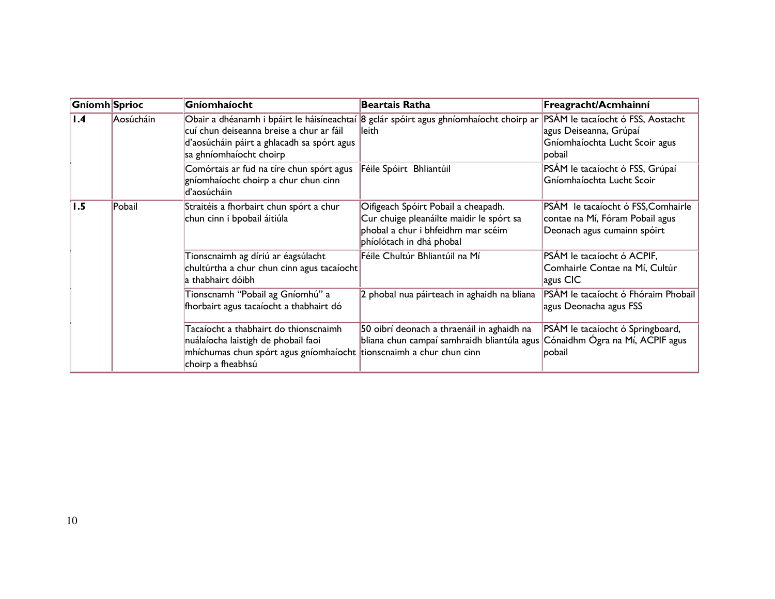| Gníomh Sprioc |           | Gníomhaíocht                                                                                                                                                             | <b>Beartais Ratha</b>                                                                                                                             | Freagracht/Acmhainní                                                                                    |
|---------------|-----------|--------------------------------------------------------------------------------------------------------------------------------------------------------------------------|---------------------------------------------------------------------------------------------------------------------------------------------------|---------------------------------------------------------------------------------------------------------|
| 1.4           | Aosúcháin | cuí chun deiseanna breise a chur ar fáil<br>d'aosúcháin páirt a ghlacadh sa spórt agus<br>sa ghníomhaíocht choirp                                                        | Obair a dhéanamh i bpáirt le háisíneachtaí 8 gclár spóirt agus ghníomhaíocht choirp ar<br>lleith                                                  | PSÁM le tacaíocht ó FSS, Aostacht<br>agus Deiseanna, Grúpaí<br>Gníomhaíochta Lucht Scoir agus<br>pobail |
|               |           | Comórtais ar fud na tíre chun spórt agus<br>gníomhaíocht choirp a chur chun cinn<br>d'aosúcháin                                                                          | Féile Spóirt Bhliantúil                                                                                                                           | PSÁM le tacaíocht ó FSS, Grúpaí<br>Gníomhaíochta Lucht Scoir                                            |
| 1.5           | Pobail    | Straitéis a fhorbairt chun spórt a chur<br>chun cinn i bpobail áitiúla                                                                                                   | Oifigeach Spóirt Pobail a cheapadh.<br>Cur chuige pleanáilte maidir le spórt sa<br>phobal a chur i bhfeidhm mar scéim<br>phíolótach in dhá phobal | PSÁM le tacaíocht ó FSS, Comhairle<br>contae na Mí, Fóram Pobail agus<br>Deonach agus cumainn spóirt    |
|               |           | Tionscnaimh ag díriú ar éagsúlacht<br>chultúrtha a chur chun cinn agus tacaíocht<br>a thabhairt dóibh                                                                    | Féile Chultúr Bhliantúil na Mí                                                                                                                    | PSÁM le tacaíocht ó ACPIF,<br>Comhairle Contae na Mí, Cultúr<br>agus CIC                                |
|               |           | Tionscnamh "Pobail ag Gníomhú" a<br>fhorbairt agus tacaíocht a thabhairt dó                                                                                              | 2 phobal nua páirteach in aghaidh na bliana                                                                                                       | PSÁM le tacaíocht ó Fhóraim Phobail<br>agus Deonacha agus FSS                                           |
|               |           | Tacaíocht a thabhairt do thionscnaimh<br>nuálaíocha laistigh de phobail faoi<br>mhíchumas chun spórt agus gníomhaíocht tionscnaimh a chur chun cinn<br>choirp a fheabhsú | 50 oibrí deonach a thraenáil in aghaidh na<br>bliana chun campaí samhraidh bliantúla agus                                                         | PSÁM le tacaíocht ó Springboard,<br>Cónaidhm Ógra na Mí, ACPIF agus<br>pobail                           |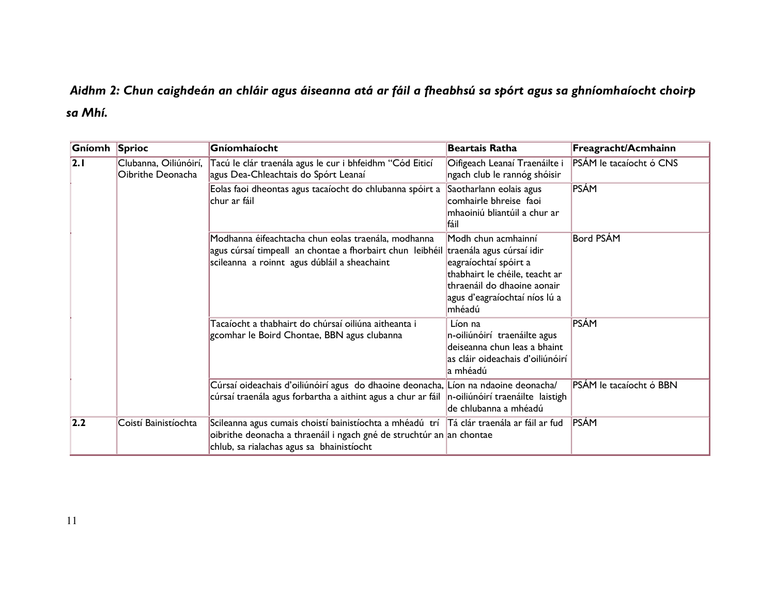## Aidhm 2: Chun caighdeán an chláir agus áiseanna atá ar fáil a fheabhsú sa spórt agus sa ghníomhaíocht choirp sa Mhí.

| Gníomh Sprioc |                                            | Gníomhaíocht                                                                                                                                                                                                   | <b>Beartais Ratha</b>                                                                                                                                    | Freagracht/Acmhainn     |
|---------------|--------------------------------------------|----------------------------------------------------------------------------------------------------------------------------------------------------------------------------------------------------------------|----------------------------------------------------------------------------------------------------------------------------------------------------------|-------------------------|
| 2.1           | Clubanna, Oiliúnóirí,<br>Oibrithe Deonacha | Tacú le clár traenála agus le cur i bhfeidhm "Cód Eiticí<br>agus Dea-Chleachtais do Spórt Leanaí                                                                                                               | Oifigeach Leanaí Traenáilte i<br>ngach club le rannóg shóisir                                                                                            | PSÁM le tacaíocht ó CNS |
|               |                                            | Eolas faoi dheontas agus tacaíocht do chlubanna spóirt a<br>chur ar fáil                                                                                                                                       | Saotharlann eolais agus<br>comhairle bhreise faoi<br>mhaoiniú bliantúil a chur ar<br>fáil                                                                | <b>PSÁM</b>             |
|               |                                            | Modhanna éifeachtacha chun eolas traenála, modhanna<br>agus cúrsaí timpeall an chontae a fhorbairt chun leibhéil traenála agus cúrsaí idir<br>scileanna a roinnt agus dúbláil a sheachaint                     | Modh chun acmhainní<br>eagraíochtaí spóirt a<br>thabhairt le chéile, teacht ar<br>thraenáil do dhaoine aonair<br>agus d'eagraíochtaí níos lú a<br>mhéadú | Bord PSÁM               |
|               |                                            | Tacaíocht a thabhairt do chúrsaí oiliúna aitheanta i<br>gcomhar le Boird Chontae, BBN agus clubanna                                                                                                            | Líon na<br>n-oiliúnóirí traenáilte agus<br>deiseanna chun leas a bhaint<br>as cláir oideachais d'oiliúnóirí<br>a mhéadú                                  | PSÁM                    |
|               |                                            | Cúrsaí oideachais d'oiliúnóirí agus do dhaoine deonacha, Líon na ndaoine deonacha/<br>cúrsaí traenála agus forbartha a aithint agus a chur ar fáil                                                             | n-oiliúnóirí traenáilte laistigh<br>de chlubanna a mhéadú                                                                                                | PSÁM le tacaíocht ó BBN |
| 2.2           | Coistí Bainistíochta                       | Scileanna agus cumais choistí bainistíochta a mhéadú trí  Tá clár traenála ar fáil ar fud<br>oibrithe deonacha a thraenáil i ngach gné de struchtúr an an chontae<br>chlub, sa rialachas agus sa bhainistíocht |                                                                                                                                                          | <b>PSÁM</b>             |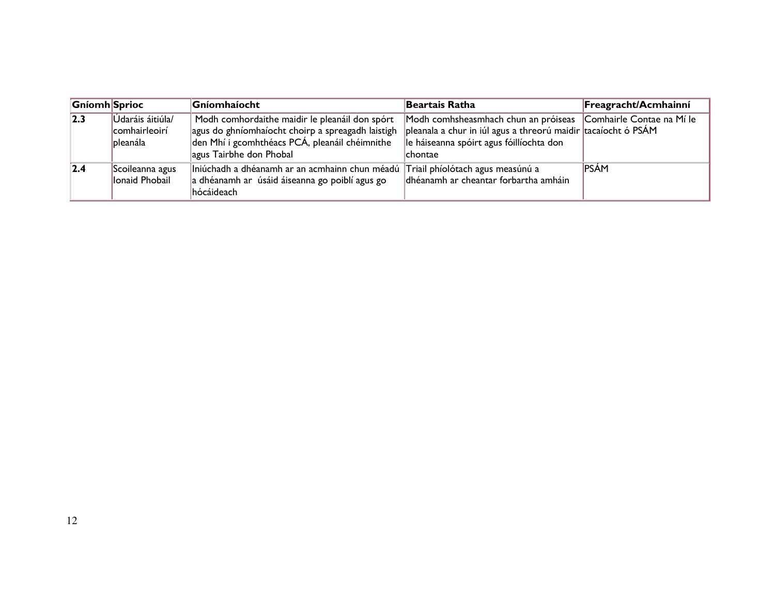| <b>Gníomh Sprioc</b> |                                                      | <b>Gníomhaíocht</b>                                                                                                                                                              | Beartais Ratha                                                                                                                                                                                 | Freagracht/Acmhainní |
|----------------------|------------------------------------------------------|----------------------------------------------------------------------------------------------------------------------------------------------------------------------------------|------------------------------------------------------------------------------------------------------------------------------------------------------------------------------------------------|----------------------|
| $\overline{2.3}$     | Údaráis áitiúla/<br>comhairleoirí<br><b>bleanála</b> | Modh comhordaithe maidir le pleanáil don spórt<br>agus do ghníomhaíocht choirp a spreagadh laistigh<br>den Mhí i gcomhthéacs PCÁ, pleanáil chéimnithe<br>agus Tairbhe don Phobal | Modh comhsheasmhach chun an próiseas Comhairle Contae na Mí le<br>pleanala a chur in iúl agus a threorú maidir tacaíocht ó PSÁM<br>le háiseanna spóirt agus fóillíochta don<br><b>Ichontae</b> |                      |
| 2.4                  | Scoileanna agus<br>lonaid Phobail                    | Iniúchadh a dhéanamh ar an acmhainn chun méadú Triail phíolótach agus measúnú a<br>a dhéanamh ar úsáid áiseanna go poiblí agus go<br>hócáideach                                  | dhéanamh ar cheantar forbartha amháin                                                                                                                                                          | PSÁM                 |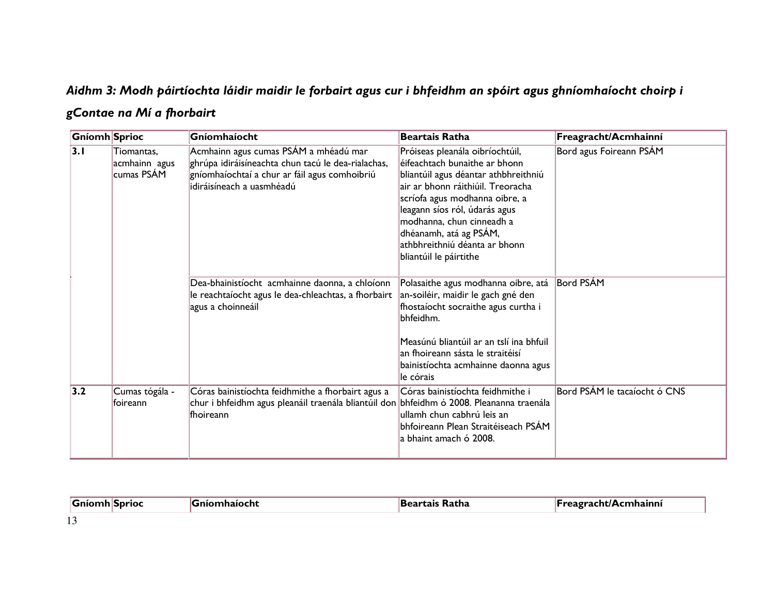## Aidhm 3: Modh páirtíochta láidir maidir le forbairt agus cur i bhfeidhm an spóirt agus ghníomhaíocht choirp i

### gContae na Mí a fhorbairt

| Gníomh Sprioc |                                           | Gníomhaíocht                                                                                                                                                              | <b>Beartais Ratha</b>                                                                                                                                                                                                                                                                                                              | Freagracht/Acmhainní         |
|---------------|-------------------------------------------|---------------------------------------------------------------------------------------------------------------------------------------------------------------------------|------------------------------------------------------------------------------------------------------------------------------------------------------------------------------------------------------------------------------------------------------------------------------------------------------------------------------------|------------------------------|
| 3.1           | Tiomantas,<br>acmhainn agus<br>cumas PSÁM | Acmhainn agus cumas PSÁM a mhéadú mar<br>ghrúpa idiráisíneachta chun tacú le dea-rialachas,<br>gníomhaíochtaí a chur ar fáil agus comhoibriú<br>idiráisíneach a uasmhéadú | Próiseas pleanála oibríochtúil,<br>éifeachtach bunaithe ar bhonn<br>bliantúil agus déantar athbhreithniú<br>air ar bhonn ráithiúil. Treoracha<br>scríofa agus modhanna oibre, a<br>leagann síos ról, údarás agus<br>modhanna, chun cinneadh a<br>dhéanamh, atá ag PSÁM,<br>athbhreithniú déanta ar bhonn<br>bliantúil le páirtithe | Bord agus Foireann PSÁM      |
|               |                                           | Dea-bhainistíocht acmhainne daonna, a chloíonn<br>le reachtaíocht agus le dea-chleachtas, a fhorbairt<br>agus a choinneáil                                                | Polasaithe agus modhanna oibre, atá<br>an-soiléir, maidir le gach gné den<br>fhostaíocht socraithe agus curtha i<br>bhfeidhm.<br>Measúnú bliantúil ar an tslí ina bhfuil<br>an fhoireann sásta le straitéisí<br>bainistíochta acmhainne daonna agus<br>le córais                                                                   | <b>Bord PSÁM</b>             |
| 3.2           | Cumas tógála -<br>foireann                | Córas bainistíochta feidhmithe a fhorbairt agus a<br>$ $ chur i bhfeidhm agus pleanáil traenála bliantúil don $ $ bhfeidhm ó 2008. Pleananna traenála<br><b>fhoireann</b> | Córas bainistíochta feidhmithe i<br>ullamh chun cabhrú leis an<br>bhfoireann Plean Straitéiseach PSÁM<br>a bhaint amach ó 2008.                                                                                                                                                                                                    | Bord PSÁM le tacaíocht ó CNS |

| <b>Gní</b><br>--------- |  | ---<br>xatna | ınni |
|-------------------------|--|--------------|------|
| $\sim$                  |  |              |      |

13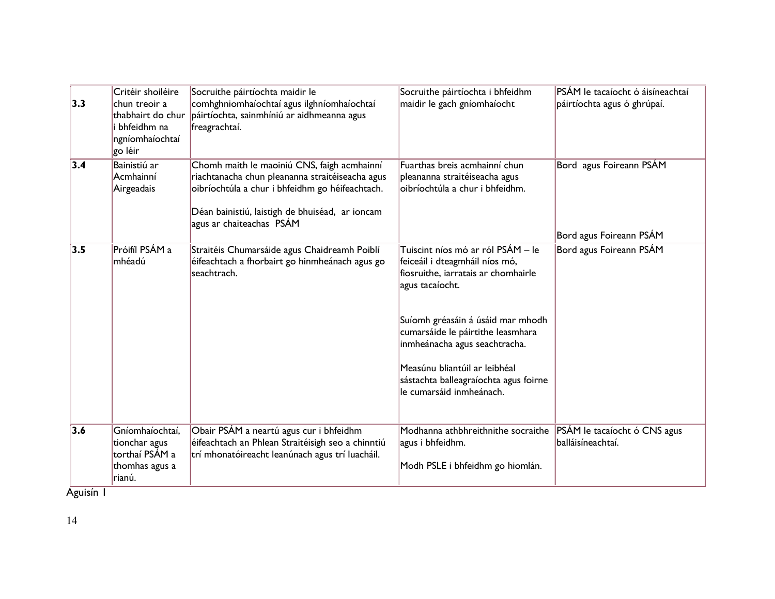| 3.3 | Critéir shoiléire<br>chun treoir a<br>thabhairt do chur<br>i bhfeidhm na<br>ngníomhaíochtaí<br>go léir | Socruithe páirtíochta maidir le<br>comhghniomhaíochtaí agus ilghníomhaíochtaí<br>páirtíochta, sainmhíniú ar aidhmeanna agus<br>freagrachtaí.                                                                                     | Socruithe páirtíochta i bhfeidhm<br>maidir le gach gníomhaíocht                                                                                                                                                                                                                                                                                | PSÁM le tacaíocht ó áisíneachtaí<br>páirtíochta agus ó ghrúpaí. |
|-----|--------------------------------------------------------------------------------------------------------|----------------------------------------------------------------------------------------------------------------------------------------------------------------------------------------------------------------------------------|------------------------------------------------------------------------------------------------------------------------------------------------------------------------------------------------------------------------------------------------------------------------------------------------------------------------------------------------|-----------------------------------------------------------------|
| 3.4 | Bainistiú ar<br>Acmhainní<br>Airgeadais                                                                | Chomh maith le maoiniú CNS, faigh acmhainní<br>riachtanacha chun pleananna straitéiseacha agus<br>oibríochtúla a chur i bhfeidhm go héifeachtach.<br>Déan bainistiú, laistigh de bhuiséad, ar ioncam<br>agus ar chaiteachas PSÁM | Fuarthas breis acmhainní chun<br>pleananna straitéiseacha agus<br>oibríochtúla a chur i bhfeidhm.                                                                                                                                                                                                                                              | Bord agus Foireann PSÁM<br>Bord agus Foireann PSÁM              |
| 3.5 | Próifíl PSÁM a<br>mhéadú                                                                               | Straitéis Chumarsáide agus Chaidreamh Poiblí<br>éifeachtach a fhorbairt go hinmheánach agus go<br>seachtrach.                                                                                                                    | Tuiscint níos mó ar ról PSÁM – le<br>feiceáil i dteagmháil níos mó,<br>fiosruithe, iarratais ar chomhairle<br>agus tacaíocht.<br>Suíomh gréasáin á úsáid mar mhodh<br>cumarsáide le páirtithe leasmhara<br>inmheánacha agus seachtracha.<br>Measúnu bliantúil ar leibhéal<br>sástachta balleagraíochta agus foirne<br>le cumarsáid inmheánach. | Bord agus Foireann PSÁM                                         |
| 3.6 | Gníomhaíochtaí,<br>tionchar agus<br>torthaí PSÁM a<br>thomhas agus a<br>rianú.                         | Obair PSÁM a neartú agus cur i bhfeidhm<br>éifeachtach an Phlean Straitéisigh seo a chinntiú<br>trí mhonatóireacht leanúnach agus trí luacháil.                                                                                  | Modhanna athbhreithnithe socraithe<br>agus i bhfeidhm.<br>Modh PSLE i bhfeidhm go hiomlán.                                                                                                                                                                                                                                                     | PSÁM le tacaíocht ó CNS agus<br>balláisíneachtaí.               |

Aguisín 1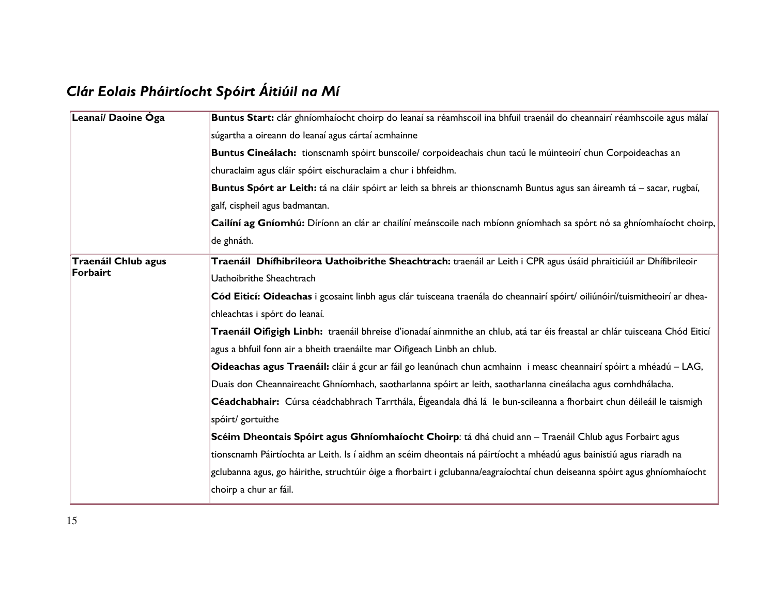# Clár Eolais Pháirtíocht Spóirt Áitiúil na Mí

| Leanaí/ Daoine Óga  | Buntus Start: clár ghníomhaíocht choirp do leanaí sa réamhscoil ina bhfuil traenáil do cheannairí réamhscoile agus málaí    |  |  |
|---------------------|-----------------------------------------------------------------------------------------------------------------------------|--|--|
|                     | súgartha a oireann do leanaí agus cártaí acmhainne                                                                          |  |  |
|                     | Buntus Cineálach: tionscnamh spóirt bunscoile/ corpoideachais chun tacú le múinteoirí chun Corpoideachas an                 |  |  |
|                     | churaclaim agus cláir spóirt eischuraclaim a chur i bhfeidhm.                                                               |  |  |
|                     | Buntus Spórt ar Leith: tá na cláir spóirt ar leith sa bhreis ar thionscnamh Buntus agus san áireamh tá - sacar, rugbaí,     |  |  |
|                     | galf, cispheil agus badmantan.                                                                                              |  |  |
|                     | Cailíní ag Gníomhú: Díríonn an clár ar chailíní meánscoile nach mbíonn gníomhach sa spórt nó sa ghníomhaíocht choirp,       |  |  |
|                     | de ghnáth.                                                                                                                  |  |  |
| Traenáil Chlub agus | Traenáil Dhífhibrileora Uathoibrithe Sheachtrach: traenáil ar Leith i CPR agus úsáid phraiticiúil ar Dhífibrileoir          |  |  |
| Forbairt            | Uathoibrithe Sheachtrach                                                                                                    |  |  |
|                     | Cód Eiticí: Oideachas i gcosaint linbh agus clár tuisceana traenála do cheannairí spóirt/oiliúnóirí/tuismitheoirí ar dhea-  |  |  |
|                     | chleachtas i spórt do leanaí.                                                                                               |  |  |
|                     | Traenáil Oifigigh Linbh: traenáil bhreise d'ionadaí ainmnithe an chlub, atá tar éis freastal ar chlár tuisceana Chód Eiticí |  |  |
|                     | agus a bhfuil fonn air a bheith traenáilte mar Oifigeach Linbh an chlub.                                                    |  |  |
|                     | Oideachas agus Traenáil: cláir á gcur ar fáil go leanúnach chun acmhainn i measc cheannairí spóirt a mhéadú - LAG,          |  |  |
|                     | Duais don Cheannaireacht Ghníomhach, saotharlanna spóirt ar leith, saotharlanna cineálacha agus comhdhálacha.               |  |  |
|                     | Céadchabhair: Cúrsa céadchabhrach Tarrthála, Éigeandala dhá lá le bun-scileanna a fhorbairt chun déileáil le taismigh       |  |  |
|                     | spóirt/ gortuithe                                                                                                           |  |  |
|                     | Scéim Dheontais Spóirt agus Ghníomhaíocht Choirp: tá dhá chuid ann – Traenáil Chlub agus Forbairt agus                      |  |  |
|                     | tionscnamh Páirtíochta ar Leith. Is í aidhm an scéim dheontais ná páirtíocht a mhéadú agus bainistiú agus riaradh na        |  |  |
|                     | gclubanna agus, go háirithe, struchtúir óige a fhorbairt i gclubanna/eagraíochtaí chun deiseanna spóirt agus ghníomhaíocht  |  |  |
|                     | choirp a chur ar fáil.                                                                                                      |  |  |
|                     |                                                                                                                             |  |  |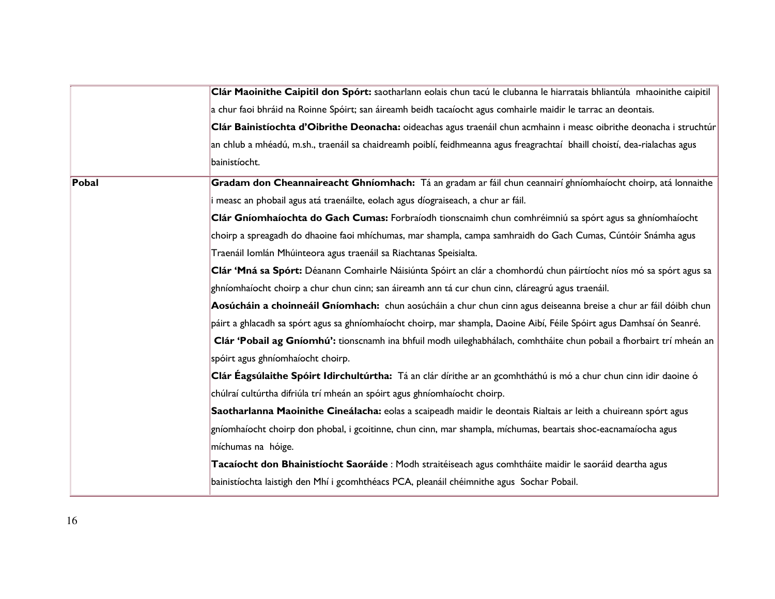|              | Clár Maoinithe Caipitil don Spórt: saotharlann eolais chun tacú le clubanna le hiarratais bhliantúla mhaoinithe caipitil  |
|--------------|---------------------------------------------------------------------------------------------------------------------------|
|              | a chur faoi bhráid na Roinne Spóirt; san áireamh beidh tacaíocht agus comhairle maidir le tarrac an deontais.             |
|              | Clár Bainistíochta d'Oibrithe Deonacha: oideachas agus traenáil chun acmhainn i measc oibrithe deonacha i struchtúr       |
|              | an chlub a mhéadú, m.sh., traenáil sa chaidreamh poiblí, feidhmeanna agus freagrachtaí bhaill choistí, dea-rialachas agus |
|              | bainistíocht.                                                                                                             |
| <b>Pobal</b> | Gradam don Cheannaireacht Ghníomhach: Tá an gradam ar fáil chun ceannairí ghníomhaíocht choirp, atá lonnaithe             |
|              | measc an phobail agus atá traenáilte, eolach agus díograiseach, a chur ar fáil.                                           |
|              | Clár Gníomhaíochta do Gach Cumas: Forbraíodh tionscnaimh chun comhréimniú sa spórt agus sa ghníomhaíocht                  |
|              | $ $ choirp a spreagadh do dhaoine faoi mhíchumas, mar shampla, campa samhraidh do Gach Cumas, Cúntóir Snámha agus         |
|              | Traenáil Iomlán Mhúinteora agus traenáil sa Riachtanas Speisialta.                                                        |
|              | Clár 'Mná sa Spórt: Déanann Comhairle Náisiúnta Spóirt an clár a chomhordú chun páirtíocht níos mó sa spórt agus sa       |
|              | ghníomhaíocht choirp a chur chun cinn; san áireamh ann tá cur chun cinn, cláreagrú agus traenáil.                         |
|              | Aosúcháin a choinneáil Gníomhach: chun aosúcháin a chur chun cinn agus deiseanna breise a chur ar fáil dóibh chun         |
|              | páirt a ghlacadh sa spórt agus sa ghníomhaíocht choirp, mar shampla, Daoine Aibí, Féile Spóirt agus Damhsaí ón Seanré.    |
|              | Clár 'Pobail ag Gníomhú': tionscnamh ina bhfuil modh uileghabhálach, comhtháite chun pobail a fhorbairt trí mheán an      |
|              | spóirt agus ghníomhaíocht choirp.                                                                                         |
|              | Clár Éagsúlaithe Spóirt Idirchultúrtha: Tá an clár dírithe ar an gcomhtháthú is mó a chur chun cinn idir daoine ó         |
|              | chúlraí cultúrtha difriúla trí mheán an spóirt agus ghníomhaíocht choirp.                                                 |
|              | Saotharlanna Maoinithe Cineálacha: eolas a scaipeadh maidir le deontais Rialtais ar leith a chuireann spórt agus          |
|              | gníomhaíocht choirp don phobal, i gcoitinne, chun cinn, mar shampla, míchumas, beartais shoc-eacnamaíocha agus            |
|              | míchumas na hóige.                                                                                                        |
|              | Tacaíocht don Bhainistíocht Saoráide : Modh straitéiseach agus comhtháite maidir le saoráid deartha agus                  |
|              | bainistíochta laistigh den Mhí i gcomhthéacs PCA, pleanáil chéimnithe agus Sochar Pobail.                                 |
|              |                                                                                                                           |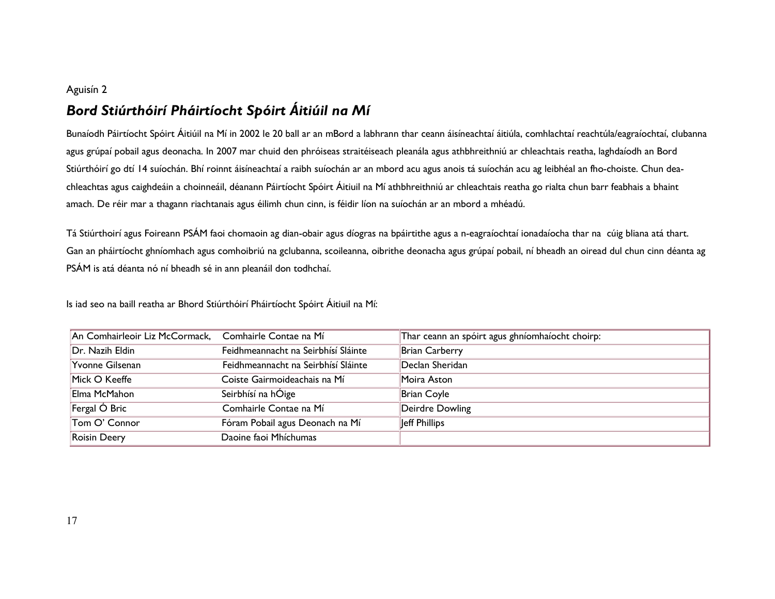#### Aguisín 2

## Bord Stiúrthóirí Pháirtíocht Spóirt Áitiúil na Mí

Bunaíodh Páirtíocht Spóirt Áitiúil na Mí in 2002 le 20 ball ar an mBord a labhrann thar ceann áisíneachtaí áitiúla, comhlachtaí reachtúla/eagraíochtaí, clubanna agus grúpaí pobail agus deonacha. In 2007 mar chuid den phróiseas straitéiseach pleanála agus athbhreithniú ar chleachtais reatha, laghdaíodh an Bord Stiúrthóirí go dtí 14 suíochán. Bhí roinnt áisíneachtaí a raibh suíochán ar an mbord acu agus anois tá suíochán acu ag leibhéal an fho-choiste. Chun deachleachtas agus caighdeáin a choinneáil, déanann Páirtíocht Spóirt Áitiuil na Mí athbhreithniú ar chleachtais reatha go rialta chun barr feabhais a bhaint amach. De réir mar a thagann riachtanais agus éilimh chun cinn, is féidir líon na suíochán ar an mbord a mhéadú.

Tá Stiúrthoirí agus Foireann PSÁM faoi chomaoin ag dian-obair agus díogras na bpáirtithe agus a n-eagraíochtaí ionadaíocha thar na cúig bliana atá thart. Gan an pháirtíocht ghníomhach agus comhoibriú na gclubanna, scoileanna, oibrithe deonacha agus grúpaí pobail, ní bheadh an oiread dul chun cinn déanta ag PSÁM is atá déanta nó ní bheadh sé in ann pleanáil don todhchaí.

Is iad seo na baill reatha ar Bhord Stiúrthóirí Pháirtíocht Spóirt Áitiuil na Mí:

| An Comhairleoir Liz McCormack, Comhairle Contae na Mí |                                     | Thar ceann an spóirt agus ghníomhaíocht choirp: |
|-------------------------------------------------------|-------------------------------------|-------------------------------------------------|
| Dr. Nazih Eldin                                       | Feidhmeannacht na Seirbhísí Sláinte | Brian Carberry                                  |
| Yvonne Gilsenan                                       | Feidhmeannacht na Seirbhísí Sláinte | Declan Sheridan                                 |
| Mick O Keeffe                                         | Coiste Gairmoideachais na Mí        | Moira Aston                                     |
| Elma McMahon                                          | Seirbhísí na hÓige                  | Brian Coyle                                     |
| Fergal Ó Bric                                         | Comhairle Contae na Mí              | Deirdre Dowling                                 |
| Tom O' Connor                                         | Fóram Pobail agus Deonach na Mí     | Jeff Phillips                                   |
| <b>Roisin Deery</b>                                   | Daoine faoi Mhíchumas               |                                                 |